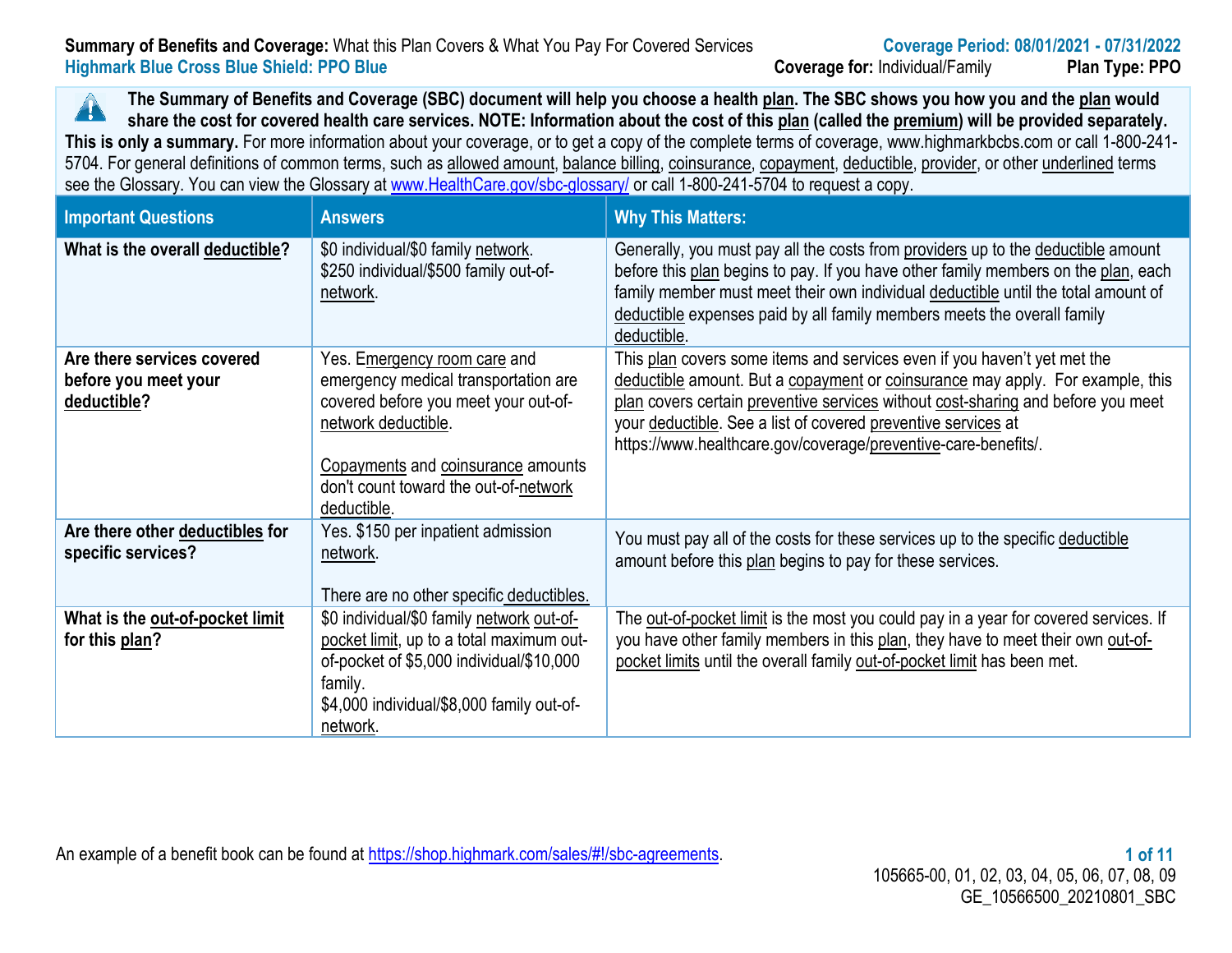#### **Summary of Benefits and Coverage:** What this Plan Covers & What You Pay For Covered Services **Coverage Period: 08/01/2021 - 07/31/2022 Highmark Blue Cross Blue Shield: PPO Blue Coverage for:** Individual/Family **Plan Type: PPO**

**The Summary of Benefits and Coverage (SBC) document will help you choose a health plan. The SBC shows you how you and the plan would**  $\blacktriangle$ **share the cost for covered health care services. NOTE: Information about the cost of this plan (called the premium) will be provided separately. This is only a summary.** For more information about your coverage, or to get a copy of the complete terms of coverage, www.highmarkbcbs.com or call 1-800-241- 5704. For general definitions of common terms, such as allowed amount, balance billing, coinsurance, copayment, deductible, provider, or other underlined terms see the Glossary. You can view the Glossary at www.HealthCare.gov/sbc-glossary/ or call 1-800-241-5704 to request a copy.

| <b>Important Questions</b>                                        | <b>Answers</b>                                                                                                                                                                                                                    | <b>Why This Matters:</b>                                                                                                                                                                                                                                                                                                                                                          |
|-------------------------------------------------------------------|-----------------------------------------------------------------------------------------------------------------------------------------------------------------------------------------------------------------------------------|-----------------------------------------------------------------------------------------------------------------------------------------------------------------------------------------------------------------------------------------------------------------------------------------------------------------------------------------------------------------------------------|
| What is the overall deductible?                                   | \$0 individual/\$0 family network.<br>\$250 individual/\$500 family out-of-<br>network.                                                                                                                                           | Generally, you must pay all the costs from providers up to the deductible amount<br>before this plan begins to pay. If you have other family members on the plan, each<br>family member must meet their own individual deductible until the total amount of<br>deductible expenses paid by all family members meets the overall family<br>deductible.                             |
| Are there services covered<br>before you meet your<br>deductible? | Yes. Emergency room care and<br>emergency medical transportation are<br>covered before you meet your out-of-<br>network deductible.<br>Copayments and coinsurance amounts<br>don't count toward the out-of-network<br>deductible. | This plan covers some items and services even if you haven't yet met the<br>deductible amount. But a copayment or coinsurance may apply. For example, this<br>plan covers certain preventive services without cost-sharing and before you meet<br>your deductible. See a list of covered preventive services at<br>https://www.healthcare.gov/coverage/preventive-care-benefits/. |
| Are there other deductibles for<br>specific services?             | Yes. \$150 per inpatient admission<br>network.<br>There are no other specific deductibles.                                                                                                                                        | You must pay all of the costs for these services up to the specific deductible<br>amount before this plan begins to pay for these services.                                                                                                                                                                                                                                       |
| What is the out-of-pocket limit<br>for this plan?                 | \$0 individual/\$0 family network out-of-<br>pocket limit, up to a total maximum out-<br>of-pocket of \$5,000 individual/\$10,000<br>family.<br>\$4,000 individual/\$8,000 family out-of-<br>network.                             | The out-of-pocket limit is the most you could pay in a year for covered services. If<br>you have other family members in this plan, they have to meet their own out-of-<br>pocket limits until the overall family out-of-pocket limit has been met.                                                                                                                               |

An example of a benefit book can be found at https://shop.highmark.com/sales/#!/sbc-agreements. **1 of 11 1 of 11**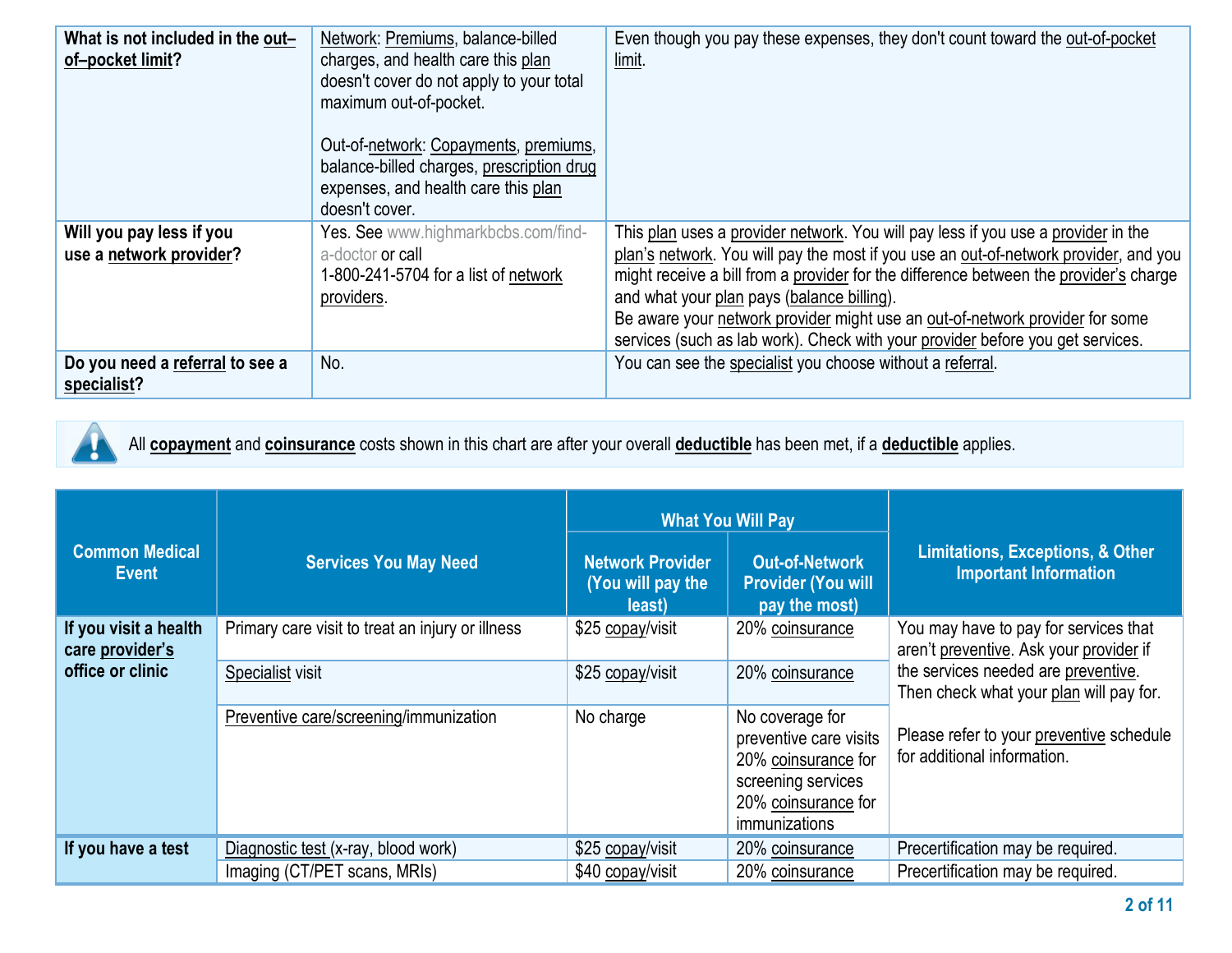| What is not included in the out-<br>of-pocket limit? | Network: Premiums, balance-billed<br>charges, and health care this plan<br>doesn't cover do not apply to your total<br>maximum out-of-pocket.<br>Out-of-network: Copayments, premiums,<br>balance-billed charges, prescription drug<br>expenses, and health care this plan<br>doesn't cover. | Even though you pay these expenses, they don't count toward the out-of-pocket<br>limit.                                                                                                                                                                                                                                                                                                                                                                                            |
|------------------------------------------------------|----------------------------------------------------------------------------------------------------------------------------------------------------------------------------------------------------------------------------------------------------------------------------------------------|------------------------------------------------------------------------------------------------------------------------------------------------------------------------------------------------------------------------------------------------------------------------------------------------------------------------------------------------------------------------------------------------------------------------------------------------------------------------------------|
| Will you pay less if you<br>use a network provider?  | Yes. See www.highmarkbcbs.com/find-<br>a-doctor or call<br>1-800-241-5704 for a list of network<br>providers.                                                                                                                                                                                | This plan uses a provider network. You will pay less if you use a provider in the<br>plan's network. You will pay the most if you use an out-of-network provider, and you<br>might receive a bill from a provider for the difference between the provider's charge<br>and what your plan pays (balance billing).<br>Be aware your network provider might use an out-of-network provider for some<br>services (such as lab work). Check with your provider before you get services. |
| Do you need a referral to see a<br>specialist?       | No.                                                                                                                                                                                                                                                                                          | You can see the specialist you choose without a referral.                                                                                                                                                                                                                                                                                                                                                                                                                          |

Ţ

All **copayment** and **coinsurance** costs shown in this chart are after your overall **deductible** has been met, if a **deductible** applies.

| <b>Common Medical</b><br><b>Event</b>    | <b>Services You May Need</b>                     | <b>What You Will Pay</b><br><b>Network Provider</b><br>(You will pay the<br>least) | <b>Out-of-Network</b><br><b>Provider (You will</b><br>pay the most)                                                                   | <b>Limitations, Exceptions, &amp; Other</b><br><b>Important Information</b>      |
|------------------------------------------|--------------------------------------------------|------------------------------------------------------------------------------------|---------------------------------------------------------------------------------------------------------------------------------------|----------------------------------------------------------------------------------|
| If you visit a health<br>care provider's | Primary care visit to treat an injury or illness | \$25 copay/visit                                                                   | 20% coinsurance                                                                                                                       | You may have to pay for services that<br>aren't preventive. Ask your provider if |
| office or clinic                         | Specialist visit                                 | \$25 copay/visit                                                                   | 20% coinsurance                                                                                                                       | the services needed are preventive.<br>Then check what your plan will pay for.   |
|                                          | Preventive care/screening/immunization           | No charge                                                                          | No coverage for<br>preventive care visits<br>20% coinsurance for<br>screening services<br>20% coinsurance for<br><i>immunizations</i> | Please refer to your preventive schedule<br>for additional information.          |
| If you have a test                       | Diagnostic test (x-ray, blood work)              | \$25 copay/visit                                                                   | 20% coinsurance                                                                                                                       | Precertification may be required.                                                |
|                                          | Imaging (CT/PET scans, MRIs)                     | \$40 copay/visit                                                                   | 20% coinsurance                                                                                                                       | Precertification may be required.                                                |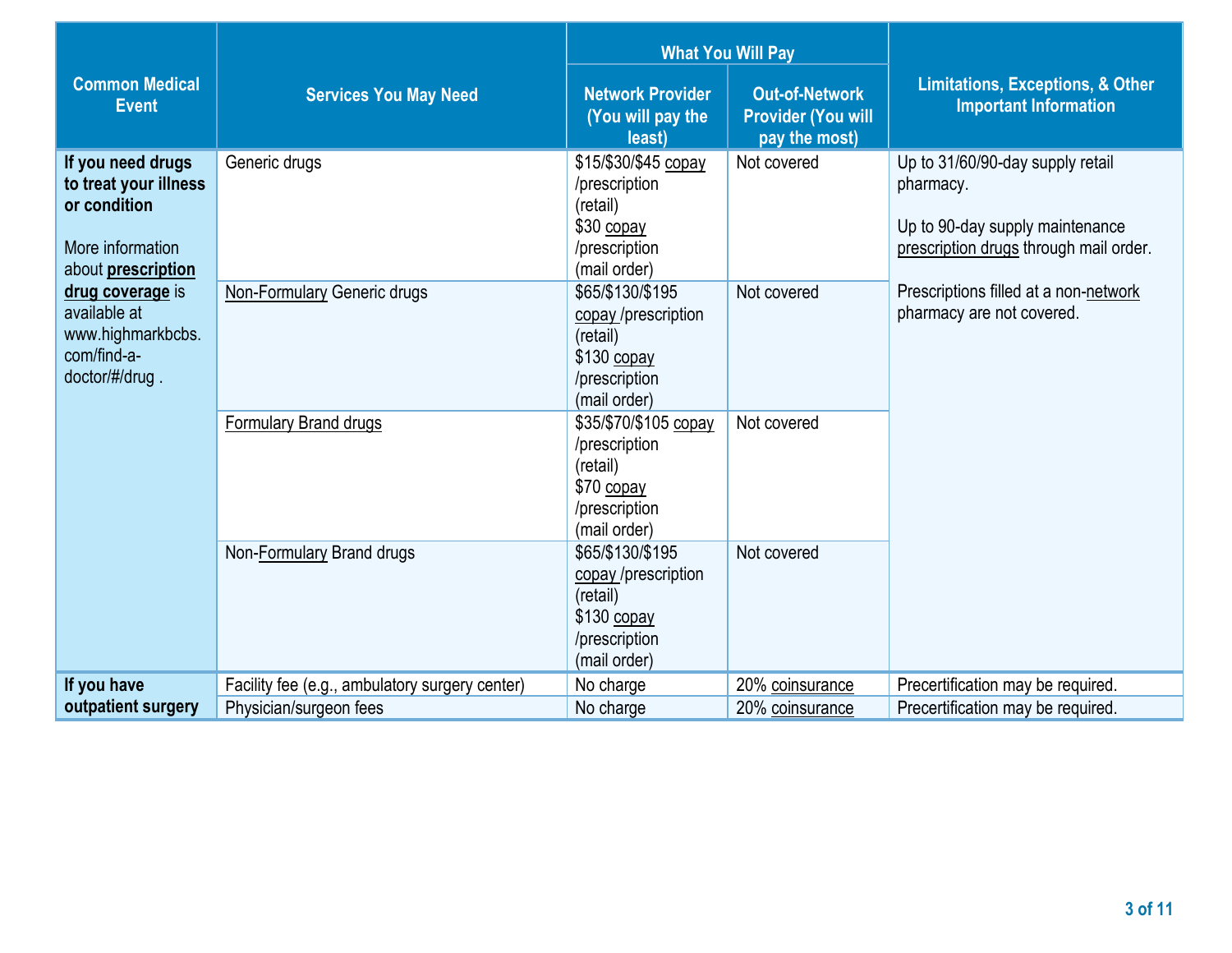|                                                                                                      |                                                | <b>What You Will Pay</b>                                                                            |                                                                     |                                                                                                                            |
|------------------------------------------------------------------------------------------------------|------------------------------------------------|-----------------------------------------------------------------------------------------------------|---------------------------------------------------------------------|----------------------------------------------------------------------------------------------------------------------------|
| <b>Common Medical</b><br><b>Event</b>                                                                | <b>Services You May Need</b>                   | <b>Network Provider</b><br>(You will pay the<br>least)                                              | <b>Out-of-Network</b><br><b>Provider (You will</b><br>pay the most) | <b>Limitations, Exceptions, &amp; Other</b><br><b>Important Information</b>                                                |
| If you need drugs<br>to treat your illness<br>or condition<br>More information<br>about prescription | Generic drugs                                  | \$15/\$30/\$45 copay<br>/prescription<br>(retail)<br>\$30 copay<br>/prescription<br>(mail order)    | Not covered                                                         | Up to 31/60/90-day supply retail<br>pharmacy.<br>Up to 90-day supply maintenance<br>prescription drugs through mail order. |
| drug coverage is<br>available at<br>www.highmarkbcbs.<br>com/find-a-<br>doctor/#/drug.               | <b>Non-Formulary Generic drugs</b>             | \$65/\$130/\$195<br>copay /prescription<br>(retail)<br>\$130 copay<br>/prescription<br>(mail order) | Not covered                                                         | Prescriptions filled at a non-network<br>pharmacy are not covered.                                                         |
|                                                                                                      | <b>Formulary Brand drugs</b>                   | \$35/\$70/\$105 copay<br>/prescription<br>(retail)<br>\$70 copay<br>/prescription<br>(mail order)   | Not covered                                                         |                                                                                                                            |
|                                                                                                      | Non-Formulary Brand drugs                      | \$65/\$130/\$195<br>copay /prescription<br>(retail)<br>\$130 copay<br>/prescription<br>(mail order) | Not covered                                                         |                                                                                                                            |
| If you have                                                                                          | Facility fee (e.g., ambulatory surgery center) | No charge                                                                                           | 20% coinsurance                                                     | Precertification may be required.                                                                                          |
| outpatient surgery                                                                                   | Physician/surgeon fees                         | No charge                                                                                           | 20% coinsurance                                                     | Precertification may be required.                                                                                          |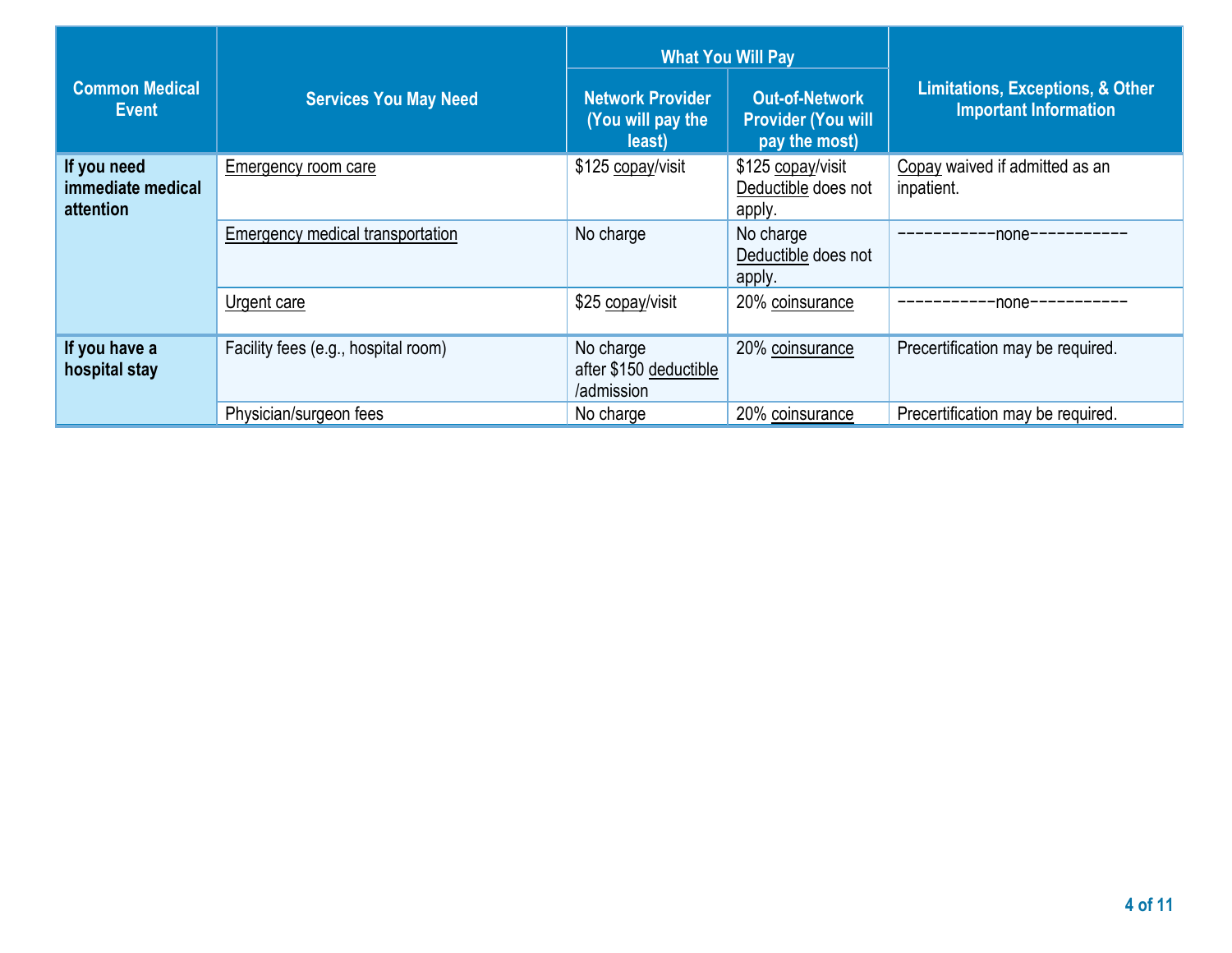| <b>Common Medical</b><br><b>Event</b>         | <b>Services You May Need</b>        | <b>Network Provider</b><br>(You will pay the<br>least) | <b>What You Will Pay</b><br><b>Out-of-Network</b><br><b>Provider (You will</b><br>pay the most) | <b>Limitations, Exceptions, &amp; Other</b><br><b>Important Information</b> |
|-----------------------------------------------|-------------------------------------|--------------------------------------------------------|-------------------------------------------------------------------------------------------------|-----------------------------------------------------------------------------|
| If you need<br>immediate medical<br>attention | Emergency room care                 | \$125 copay/visit                                      | \$125 copay/visit<br>Deductible does not<br>apply.                                              | Copay waived if admitted as an<br>inpatient.                                |
|                                               | Emergency medical transportation    | No charge                                              | No charge<br>Deductible does not<br>apply.                                                      | -none----                                                                   |
|                                               | Urgent care                         | \$25 copay/visit                                       | 20% coinsurance                                                                                 | -none----                                                                   |
| If you have a<br>hospital stay                | Facility fees (e.g., hospital room) | No charge<br>after \$150 deductible<br>/admission      | 20% coinsurance                                                                                 | Precertification may be required.                                           |
|                                               | Physician/surgeon fees              | No charge                                              | 20% coinsurance                                                                                 | Precertification may be required.                                           |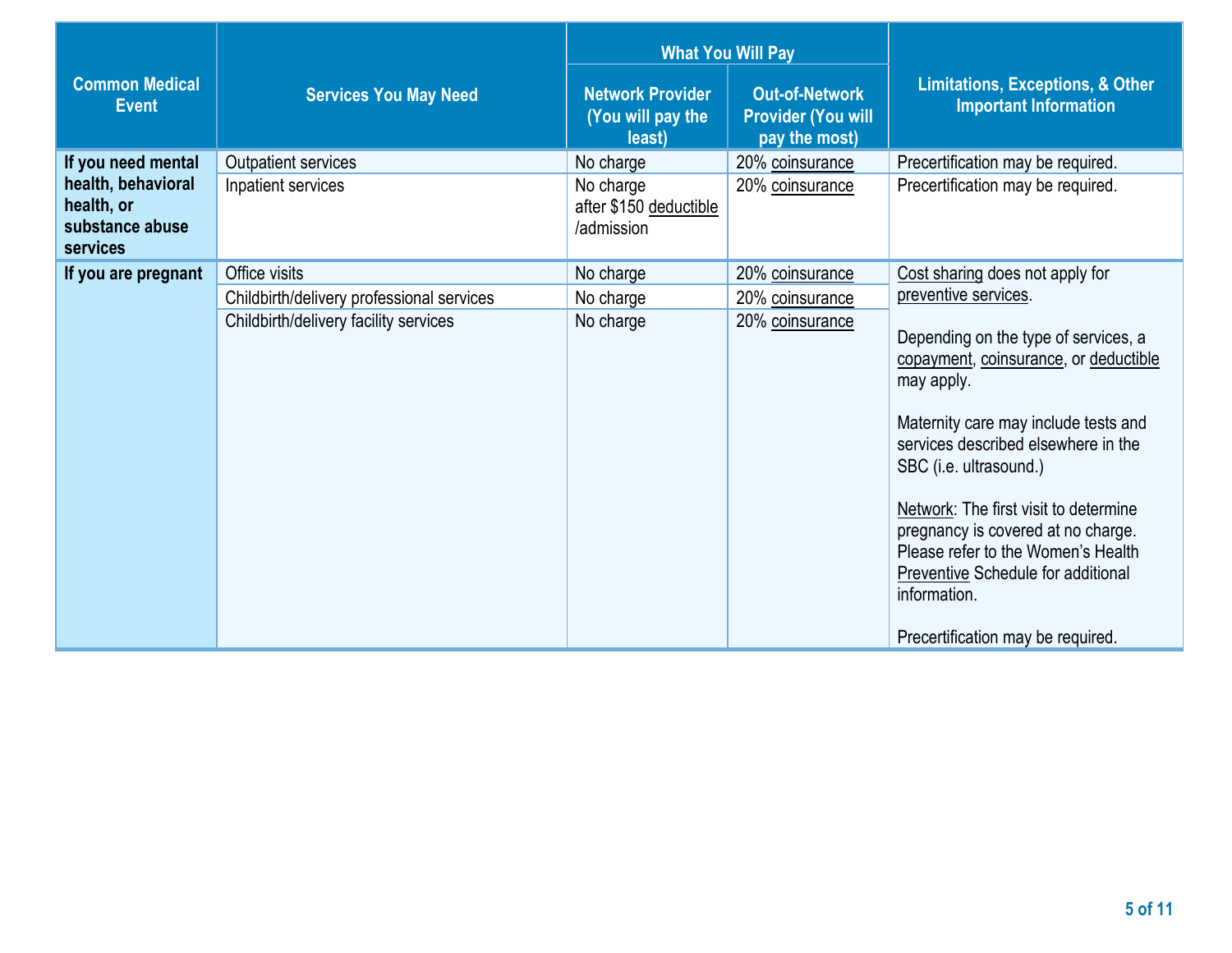|                                                                 |                                           | <b>What You Will Pay</b>                               |                                                                     |                                                                                                                                                                                                                                                                                                                                                                                                                      |
|-----------------------------------------------------------------|-------------------------------------------|--------------------------------------------------------|---------------------------------------------------------------------|----------------------------------------------------------------------------------------------------------------------------------------------------------------------------------------------------------------------------------------------------------------------------------------------------------------------------------------------------------------------------------------------------------------------|
| <b>Common Medical</b><br><b>Event</b>                           | <b>Services You May Need</b>              | <b>Network Provider</b><br>(You will pay the<br>least) | <b>Out-of-Network</b><br><b>Provider (You will</b><br>pay the most) | <b>Limitations, Exceptions, &amp; Other</b><br><b>Important Information</b>                                                                                                                                                                                                                                                                                                                                          |
| If you need mental                                              | Outpatient services                       | No charge                                              | 20% coinsurance                                                     | Precertification may be required.                                                                                                                                                                                                                                                                                                                                                                                    |
| health, behavioral<br>health, or<br>substance abuse<br>services | Inpatient services                        | No charge<br>after \$150 deductible<br>/admission      | 20% coinsurance                                                     | Precertification may be required.                                                                                                                                                                                                                                                                                                                                                                                    |
| If you are pregnant                                             | Office visits                             | No charge                                              | 20% coinsurance                                                     | Cost sharing does not apply for                                                                                                                                                                                                                                                                                                                                                                                      |
|                                                                 | Childbirth/delivery professional services | No charge                                              | 20% coinsurance                                                     | preventive services.                                                                                                                                                                                                                                                                                                                                                                                                 |
|                                                                 | Childbirth/delivery facility services     | No charge                                              | 20% coinsurance                                                     | Depending on the type of services, a<br>copayment, coinsurance, or deductible<br>may apply.<br>Maternity care may include tests and<br>services described elsewhere in the<br>SBC (i.e. ultrasound.)<br>Network: The first visit to determine<br>pregnancy is covered at no charge.<br>Please refer to the Women's Health<br>Preventive Schedule for additional<br>information.<br>Precertification may be required. |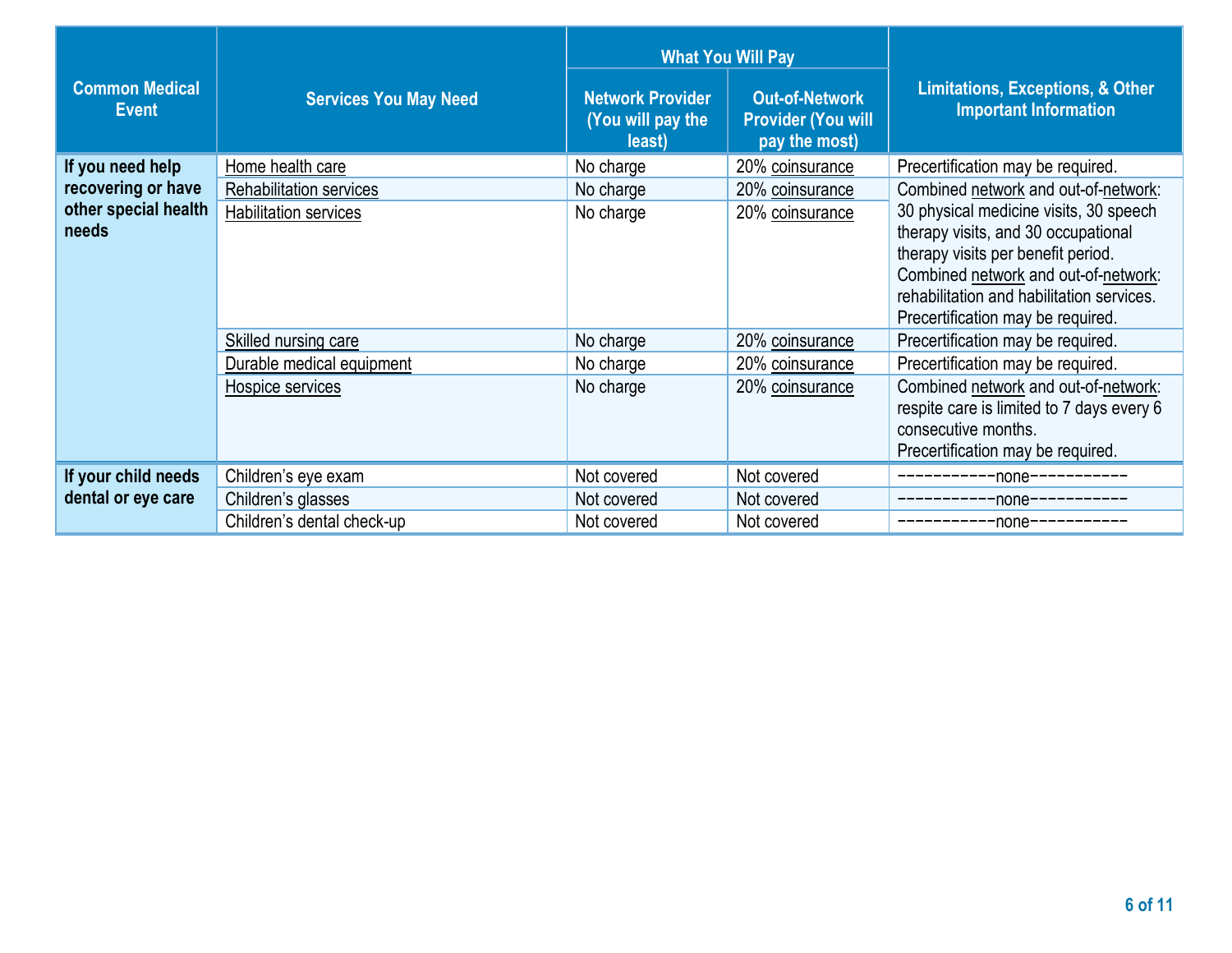|                                                                         |                                                                             | <b>What You Will Pay</b>                               |                                                                     |                                                                                                                                                                                                                                                                                                                            |
|-------------------------------------------------------------------------|-----------------------------------------------------------------------------|--------------------------------------------------------|---------------------------------------------------------------------|----------------------------------------------------------------------------------------------------------------------------------------------------------------------------------------------------------------------------------------------------------------------------------------------------------------------------|
| <b>Common Medical</b><br><b>Event</b>                                   | <b>Services You May Need</b>                                                | <b>Network Provider</b><br>(You will pay the<br>least) | <b>Out-of-Network</b><br><b>Provider (You will</b><br>pay the most) | <b>Limitations, Exceptions, &amp; Other</b><br><b>Important Information</b>                                                                                                                                                                                                                                                |
| If you need help<br>recovering or have<br>other special health<br>needs | Home health care<br>Rehabilitation services<br><b>Habilitation services</b> | No charge<br>No charge<br>No charge                    | 20% coinsurance<br>20% coinsurance<br>20% coinsurance               | Precertification may be required.<br>Combined network and out-of-network:<br>30 physical medicine visits, 30 speech<br>therapy visits, and 30 occupational<br>therapy visits per benefit period.<br>Combined network and out-of-network:<br>rehabilitation and habilitation services.<br>Precertification may be required. |
|                                                                         | Skilled nursing care<br>Durable medical equipment<br>Hospice services       | No charge<br>No charge<br>No charge                    | 20% coinsurance<br>20% coinsurance<br>20% coinsurance               | Precertification may be required.<br>Precertification may be required.<br>Combined network and out-of-network:<br>respite care is limited to 7 days every 6<br>consecutive months.<br>Precertification may be required.                                                                                                    |
| If your child needs<br>dental or eye care                               | Children's eye exam<br>Children's glasses<br>Children's dental check-up     | Not covered<br>Not covered<br>Not covered              | Not covered<br>Not covered<br>Not covered                           | ---------none-----------<br>-----------none-----------<br>-----------none-----------                                                                                                                                                                                                                                       |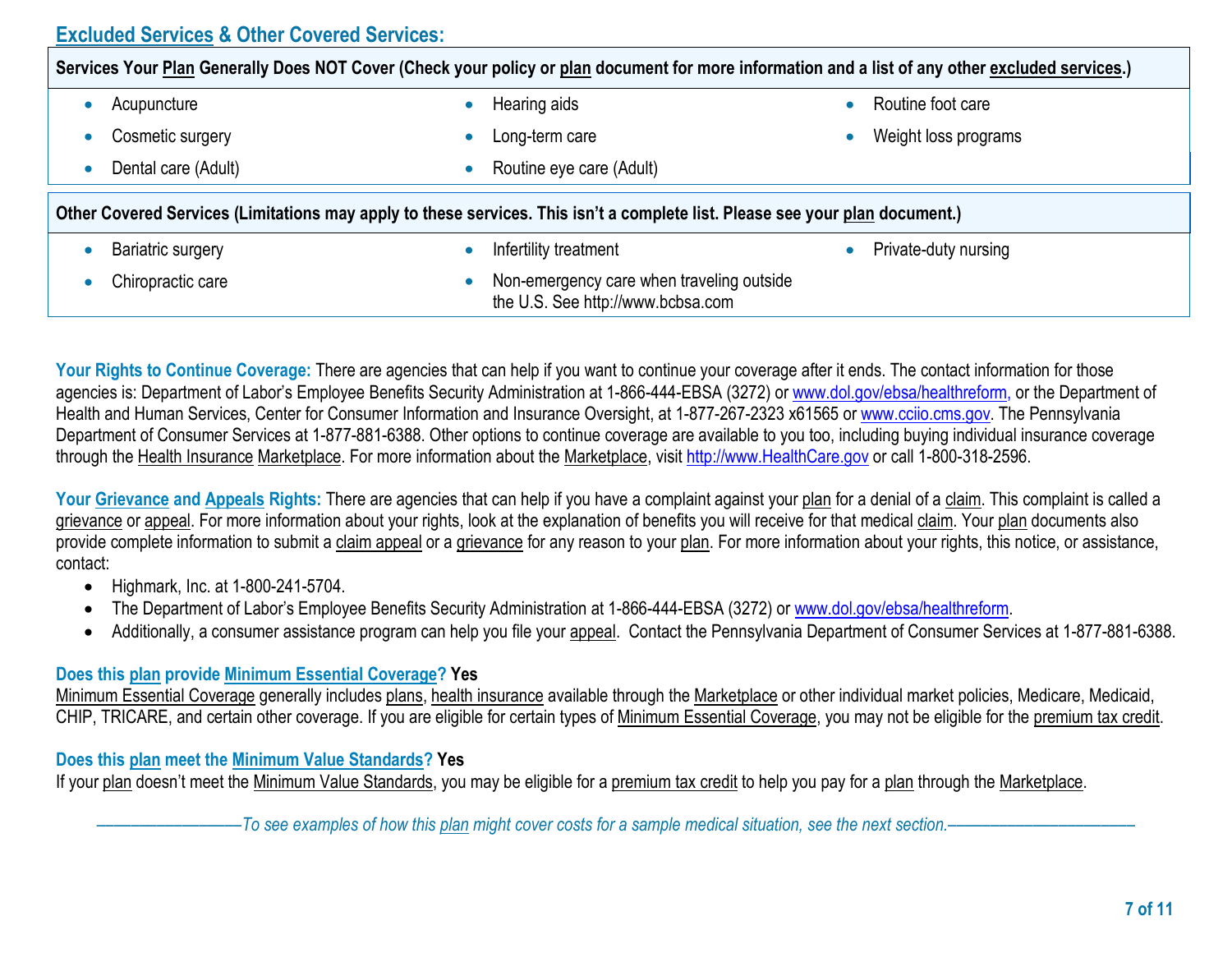## **Excluded Services & Other Covered Services:**

| Services Your Plan Generally Does NOT Cover (Check your policy or plan document for more information and a list of any other excluded services.) |                          |                      |  |  |
|--------------------------------------------------------------------------------------------------------------------------------------------------|--------------------------|----------------------|--|--|
| Acupuncture                                                                                                                                      | Hearing aids             | Routine foot care    |  |  |
| Cosmetic surgery                                                                                                                                 | Long-term care           | Weight loss programs |  |  |
| Dental care (Adult)                                                                                                                              | Routine eye care (Adult) |                      |  |  |
| Other Covered Services (Limitations may apply to these services. This isn't a complete list. Please see your plan document.)                     |                          |                      |  |  |
|                                                                                                                                                  |                          |                      |  |  |
| Bariatric surgery                                                                                                                                | Infertility treatment    | Private-duty nursing |  |  |

Your Rights to Continue Coverage: There are agencies that can help if you want to continue your coverage after it ends. The contact information for those agencies is: Department of Labor's Employee Benefits Security Administration at 1-866-444-EBSA (3272) or www.dol.gov/ebsa/healthreform, or the Department of Health and Human Services, Center for Consumer Information and Insurance Oversight, at 1-877-267-2323 x61565 or www.cciio.cms.gov. The Pennsylvania Department of Consumer Services at 1-877-881-6388. Other options to continue coverage are available to you too, including buying individual insurance coverage through the Health Insurance Marketplace. For more information about the Marketplace, visit http://www.HealthCare.gov or call 1-800-318-2596.

Your Grievance and Appeals Rights: There are agencies that can help if you have a complaint against your plan for a denial of a claim. This complaint is called a grievance or appeal. For more information about your rights, look at the explanation of benefits you will receive for that medical claim. Your plan documents also provide complete information to submit a claim appeal or a grievance for any reason to your plan. For more information about your rights, this notice, or assistance, contact:

- Highmark, Inc. at 1-800-241-5704.
- The Department of Labor's Employee Benefits Security Administration at 1-866-444-EBSA (3272) or www.dol.gov/ebsa/healthreform.
- Additionally, a consumer assistance program can help you file your appeal. Contact the Pennsylvania Department of Consumer Services at 1-877-881-6388.

#### **Does this plan provide Minimum Essential Coverage? Yes**

Minimum Essential Coverage generally includes plans, health insurance available through the Marketplace or other individual market policies, Medicare, Medicaid, CHIP, TRICARE, and certain other coverage. If you are eligible for certain types of Minimum Essential Coverage, you may not be eligible for the premium tax credit.

#### **Does this plan meet the Minimum Value Standards? Yes**

If your plan doesn't meet the Minimum Value Standards, you may be eligible for a premium tax credit to help you pay for a plan through the Marketplace.

–To see examples of how this plan might cover costs for a sample medical situation, see the next section.–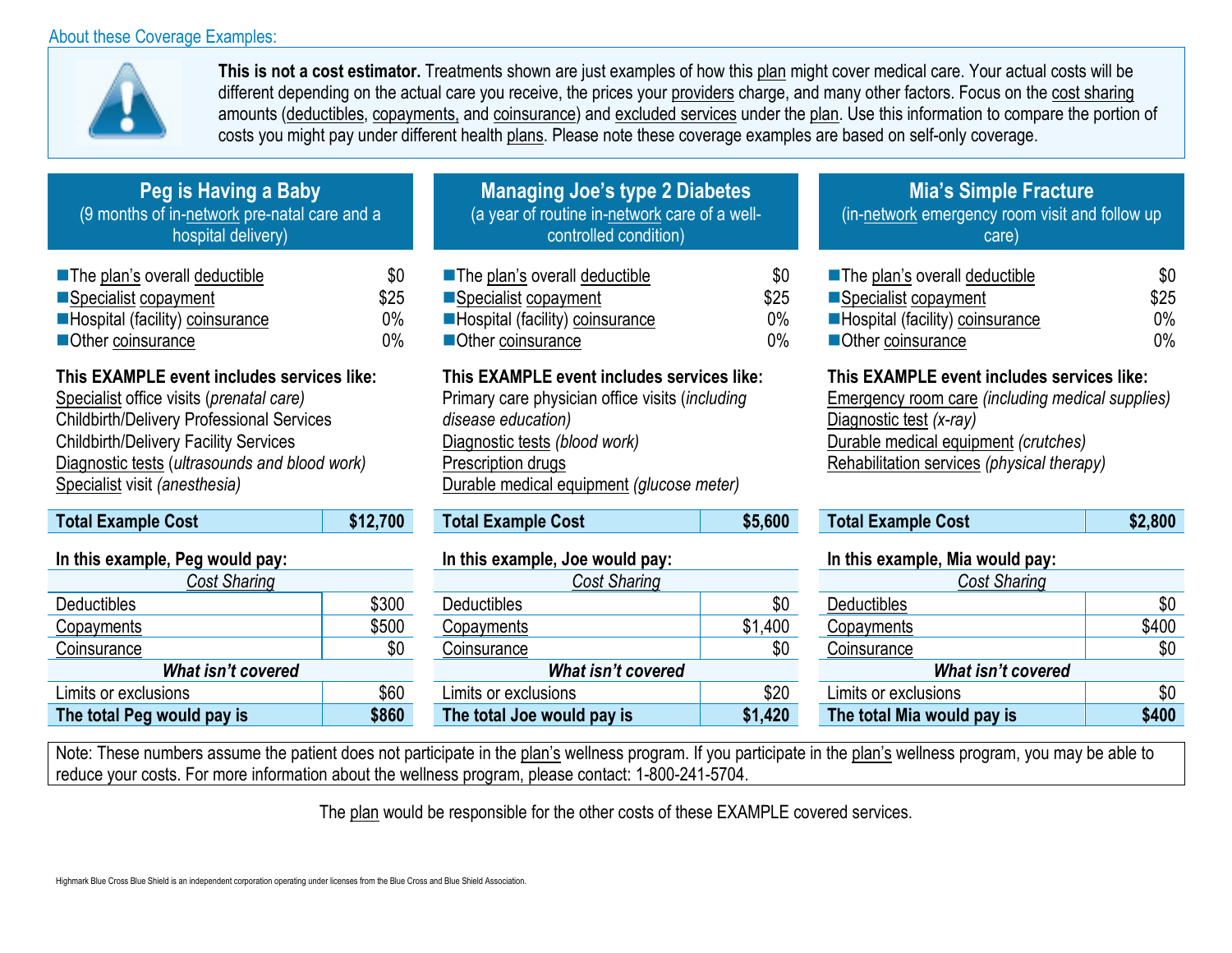#### About these Coverage Examples:



**This is not a cost estimator.** Treatments shown are just examples of how this plan might cover medical care. Your actual costs will be different depending on the actual care you receive, the prices your providers charge, and many other factors. Focus on the cost sharing amounts (deductibles, copayments, and coinsurance) and excluded services under the plan. Use this information to compare the portion of costs you might pay under different health plans. Please note these coverage examples are based on self-only coverage.

> \$0 \$25 0% 0%

| Peg is Having a Baby                         |
|----------------------------------------------|
| (9 months of in-network pre-natal care and a |
| hospital delivery)                           |

| The plan's overall deductible   | \$0   |
|---------------------------------|-------|
| ■Specialist copayment           | \$25  |
| Hospital (facility) coinsurance | $0\%$ |
| Other coinsurance               | $0\%$ |

## **This EXAMPLE event includes services like:**

Specialist office visits (*prenatal care)* Childbirth/Delivery Professional Services Childbirth/Delivery Facility Services Diagnostic tests (*ultrasounds and blood work)* Specialist visit *(anesthesia)*

| <b>Total Example Cost</b>       | \$12,700 |
|---------------------------------|----------|
| In this example, Peg would pay: |          |

| Cost Sharing                        |       |  |  |
|-------------------------------------|-------|--|--|
| <b>Deductibles</b>                  | \$300 |  |  |
| Copayments                          | \$500 |  |  |
| Coinsurance                         | \$0   |  |  |
| <b>What isn't covered</b>           |       |  |  |
| Limits or exclusions                | \$60  |  |  |
| \$860<br>The total Peg would pay is |       |  |  |

#### **Managing Joe's type 2 Diabetes** (a year of routine in-network care of a wellcontrolled condition)

■The plan's overall deductible Specialist copayment **Hospital (facility) coinsurance** ■Other coinsurance

### **This EXAMPLE event includes services like:**

Primary care physician office visits (*including disease education)* Diagnostic tests *(blood work)* Prescription drugs Durable medical equipment *(glucose meter)*

| <b>Total Example Cost</b> |  |
|---------------------------|--|
|                           |  |

| Cost Sharing               |       | Cost Sharing               |         | Cost Sharing               |       |
|----------------------------|-------|----------------------------|---------|----------------------------|-------|
| <b>Deductibles</b>         | \$300 | <b>Deductibles</b>         | \$0     | <b>Deductibles</b>         | \$0   |
| Copayments                 | \$500 | Copayments                 | \$1,400 | Copayments                 | \$400 |
| Coinsurance                | \$0   | Coinsurance                | \$0     | Coinsurance                | \$0   |
| What isn't covered         |       | What isn't covered         |         | What isn't covered         |       |
| Limits or exclusions       | \$60  | Limits or exclusions       | \$20    | Limits or exclusions       | \$0   |
| The total Peg would pay is | \$860 | The total Joe would pay is | \$1,420 | The total Mia would pay is | \$400 |
|                            |       |                            |         |                            |       |

# **Mia's Simple Fracture**

(in-network emergency room visit and follow up care)

| The plan's overall deductible   | \$0   |
|---------------------------------|-------|
| Specialist copayment            | \$25  |
| Hospital (facility) coinsurance | $0\%$ |
| Other coinsurance               | $0\%$ |

### **This EXAMPLE event includes services like:**

Emergency room care *(including medical supplies)* Diagnostic test *(x-ray)* Durable medical equipment *(crutches)* Rehabilitation services *(physical therapy)*

| Total Example | <b>Total Example Cost</b> | \$12,700 | ⊦Cost | \$5,600 | <b>Total Example Cost</b> | 2,800 |
|---------------|---------------------------|----------|-------|---------|---------------------------|-------|
|---------------|---------------------------|----------|-------|---------|---------------------------|-------|

#### **In this example, Peg would pay: In this example, Joe would pay: In this example, Mia would pay:**

| <b>Cost Sharing</b>        |       |  |  |
|----------------------------|-------|--|--|
| <b>Deductibles</b>         | \$0   |  |  |
| Copayments                 | \$400 |  |  |
| Coinsurance                | \$0   |  |  |
| What isn't covered         |       |  |  |
| Limits or exclusions       | \$0   |  |  |
| The total Mia would pay is | \$400 |  |  |

Note: These numbers assume the patient does not participate in the plan's wellness program. If you participate in the plan's wellness program, you may be able to reduce your costs. For more information about the wellness program, please contact: 1-800-241-5704.

The plan would be responsible for the other costs of these EXAMPLE covered services.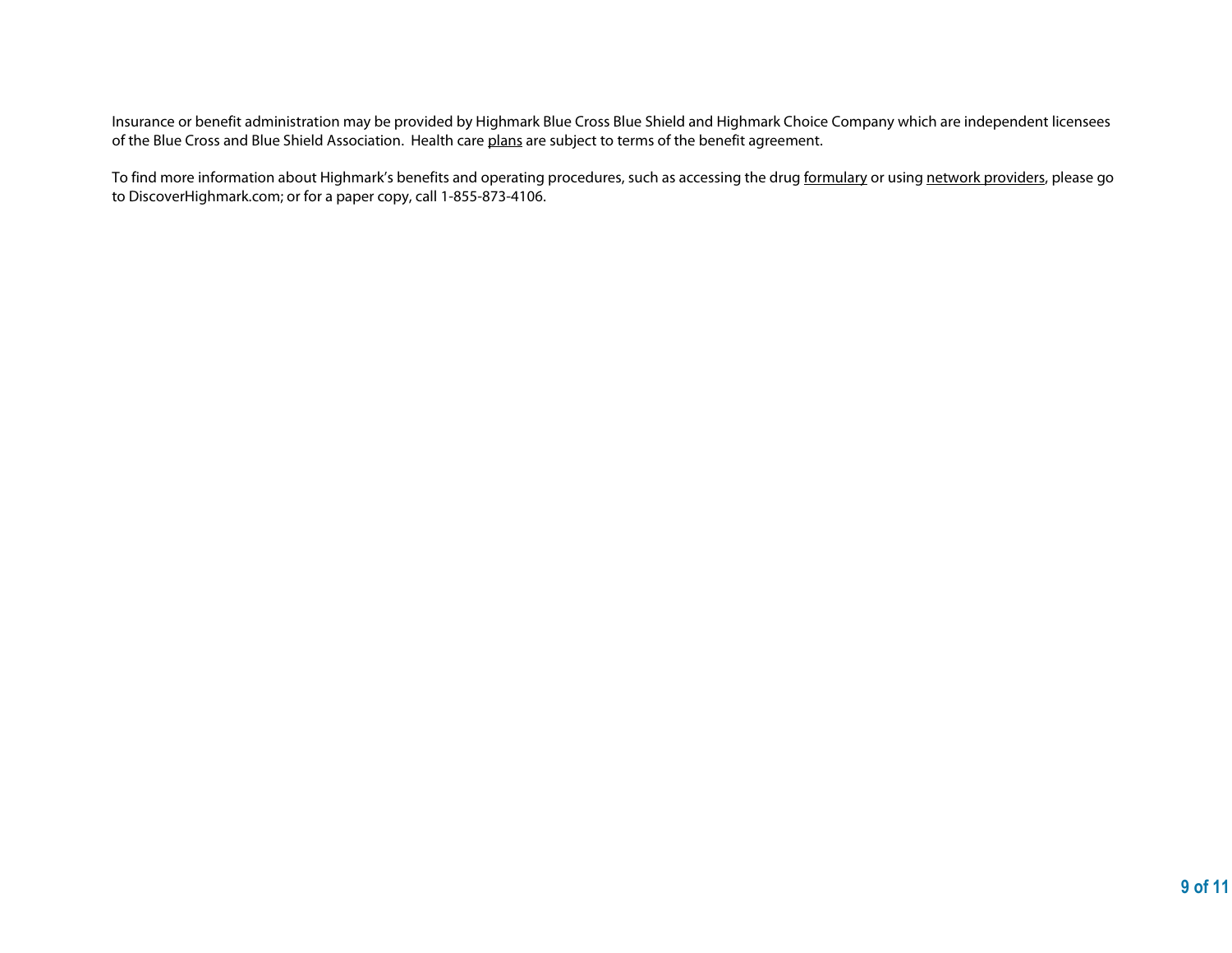Insurance or benefit administration may be provided by Highmark Blue Cross Blue Shield and Highmark Choice Company which are independent licensees of the Blue Cross and Blue Shield Association. Health care plans are subject to terms of the benefit agreement.

To find more information about Highmark's benefits and operating procedures, such as accessing the drug formulary or using network providers, please go to DiscoverHighmark.com; or for a paper copy, call 1-855-873-4106.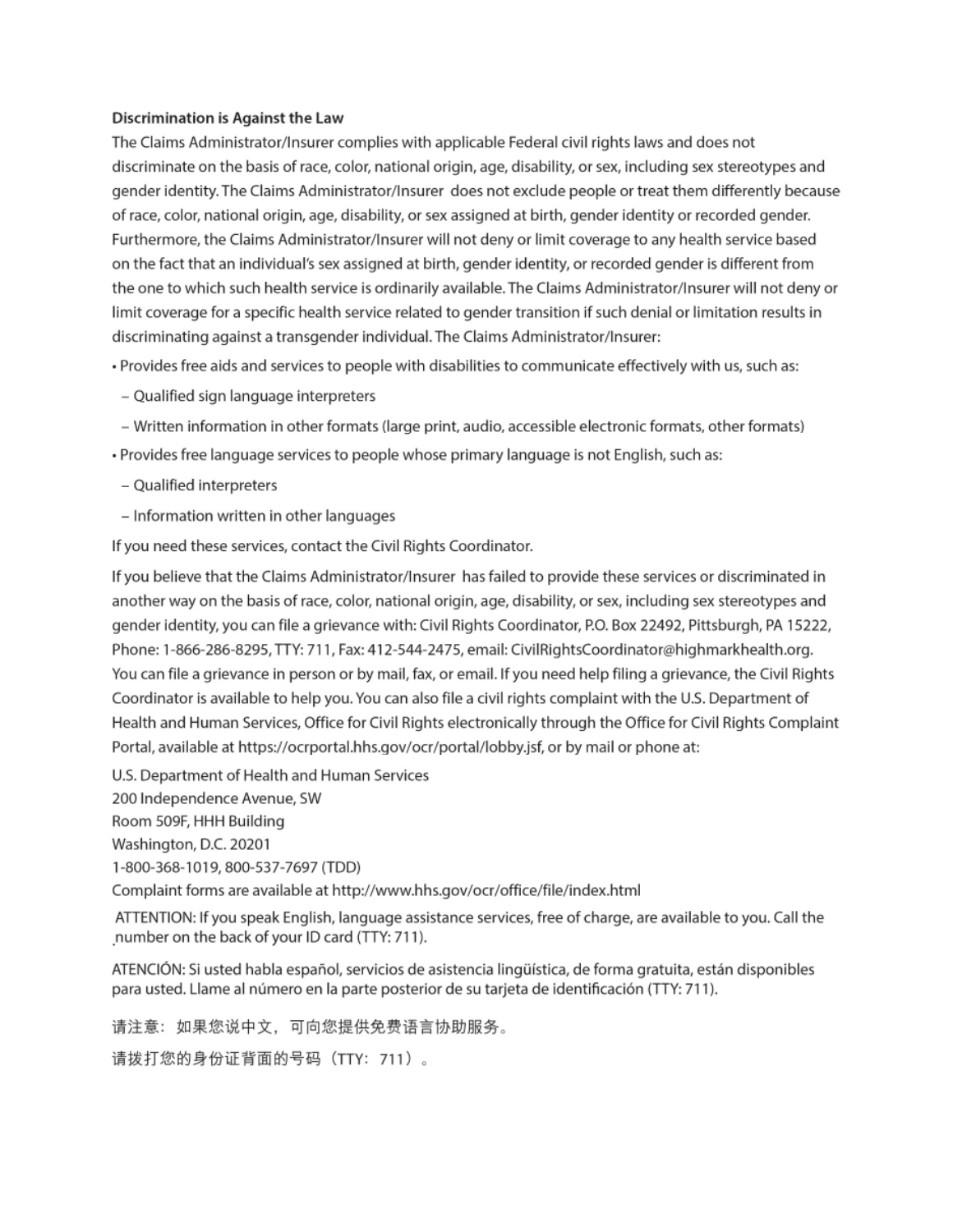#### **Discrimination is Against the Law**

The Claims Administrator/Insurer complies with applicable Federal civil rights laws and does not discriminate on the basis of race, color, national origin, age, disability, or sex, including sex stereotypes and gender identity. The Claims Administrator/Insurer does not exclude people or treat them differently because of race, color, national origin, age, disability, or sex assigned at birth, gender identity or recorded gender. Furthermore, the Claims Administrator/Insurer will not deny or limit coverage to any health service based on the fact that an individual's sex assigned at birth, gender identity, or recorded gender is different from the one to which such health service is ordinarily available. The Claims Administrator/Insurer will not deny or limit coverage for a specific health service related to gender transition if such denial or limitation results in discriminating against a transgender individual. The Claims Administrator/Insurer:

- · Provides free aids and services to people with disabilities to communicate effectively with us, such as:
- Qualified sign language interpreters
- Written information in other formats (large print, audio, accessible electronic formats, other formats)
- · Provides free language services to people whose primary language is not English, such as:
- Qualified interpreters
- Information written in other languages

If you need these services, contact the Civil Rights Coordinator.

If you believe that the Claims Administrator/Insurer has failed to provide these services or discriminated in another way on the basis of race, color, national origin, age, disability, or sex, including sex stereotypes and gender identity, you can file a grievance with: Civil Rights Coordinator, P.O. Box 22492, Pittsburgh, PA 15222, Phone: 1-866-286-8295, TTY: 711, Fax: 412-544-2475, email: CivilRightsCoordinator@highmarkhealth.org. You can file a grievance in person or by mail, fax, or email. If you need help filing a grievance, the Civil Rights Coordinator is available to help you. You can also file a civil rights complaint with the U.S. Department of Health and Human Services, Office for Civil Rights electronically through the Office for Civil Rights Complaint Portal, available at https://ocrportal.hhs.gov/ocr/portal/lobby.jsf, or by mail or phone at:

U.S. Department of Health and Human Services

200 Independence Avenue, SW

Room 509F, HHH Building

Washington, D.C. 20201

1-800-368-1019, 800-537-7697 (TDD)

Complaint forms are available at http://www.hhs.gov/ocr/office/file/index.html

ATTENTION: If you speak English, language assistance services, free of charge, are available to you. Call the number on the back of your ID card (TTY: 711).

ATENCIÓN: Si usted habla español, servicios de asistencia lingüística, de forma gratuita, están disponibles para usted. Llame al número en la parte posterior de su tarjeta de identificación (TTY: 711).

请注意:如果您说中文,可向您提供免费语言协助服务。

请拨打您的身份证背面的号码(TTY:711)。